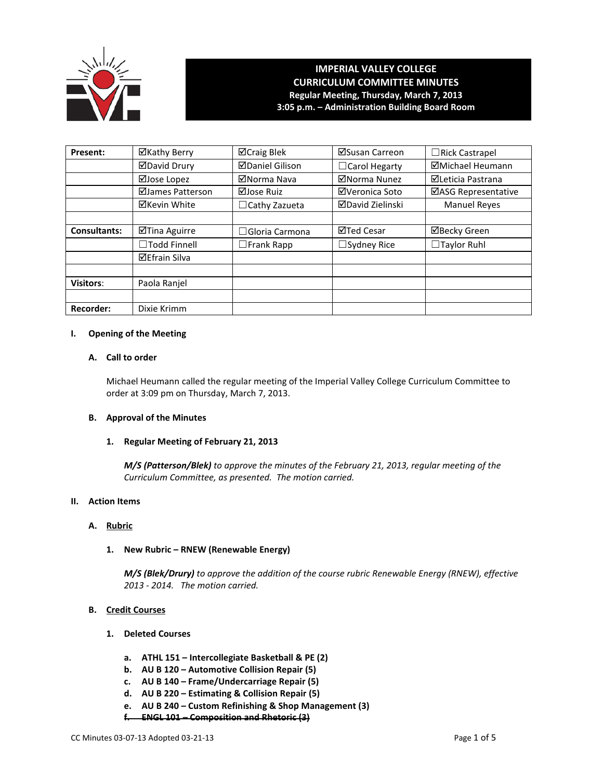

# **IMPERIAL VALLEY COLLEGE CURRICULUM COMMITTEE MINUTES Regular Meeting, Thursday, March 7, 2013 3:05 p.m. – Administration Building Board Room**

| Present:            | ⊠Kathy Berry         | ⊠Craig Blek            | ⊠Susan Carreon          | $\Box$ Rick Castrapel      |
|---------------------|----------------------|------------------------|-------------------------|----------------------------|
|                     | <b>ØDavid Drury</b>  | <b>ØDaniel Gilison</b> | $\Box$ Carol Hegarty    | <b>ØMichael Heumann</b>    |
|                     | ⊠Jose Lopez          | ⊠Norma Nava            | ⊠Norma Nunez            | ⊠Leticia Pastrana          |
|                     | ⊠James Patterson     | ⊠Jose Ruiz             | ⊠Veronica Soto          | <b>⊠ASG Representative</b> |
|                     | ⊠Kevin White         | $\Box$ Cathy Zazueta   | <b>ØDavid Zielinski</b> | <b>Manuel Reyes</b>        |
|                     |                      |                        |                         |                            |
| <b>Consultants:</b> | ⊠Tina Aguirre        | $\Box$ Gloria Carmona  | <b>⊠Ted Cesar</b>       | <b>ØBecky Green</b>        |
|                     | $\Box$ Todd Finnell  | $\square$ Frank Rapp   | $\Box$ Sydney Rice      | $\Box$ Taylor Ruhl         |
|                     | <b>⊠Efrain Silva</b> |                        |                         |                            |
|                     |                      |                        |                         |                            |
| <b>Visitors:</b>    | Paola Ranjel         |                        |                         |                            |
|                     |                      |                        |                         |                            |
| <b>Recorder:</b>    | Dixie Krimm          |                        |                         |                            |

#### **I. Opening of the Meeting**

# **A. Call to order**

Michael Heumann called the regular meeting of the Imperial Valley College Curriculum Committee to order at 3:09 pm on Thursday, March 7, 2013.

### **B. Approval of the Minutes**

# **1. Regular Meeting of February 21, 2013**

*M/S (Patterson/Blek) to approve the minutes of the February 21, 2013, regular meeting of the Curriculum Committee, as presented. The motion carried.* 

#### **II. Action Items**

# **A. Rubric**

# **1. New Rubric – RNEW (Renewable Energy)**

*M/S (Blek/Drury) to approve the addition of the course rubric Renewable Energy (RNEW), effective 2013 - 2014. The motion carried.*

# **B. Credit Courses**

- **1. Deleted Courses**
	- **a. ATHL 151 – Intercollegiate Basketball & PE (2)**
	- **b. AU B 120 – Automotive Collision Repair (5)**
	- **c. AU B 140 – Frame/Undercarriage Repair (5)**
	- **d. AU B 220 – Estimating & Collision Repair (5)**
	- **e. AU B 240 – Custom Refinishing & Shop Management (3)**
	- **f. ENGL 101 – Composition and Rhetoric (3)**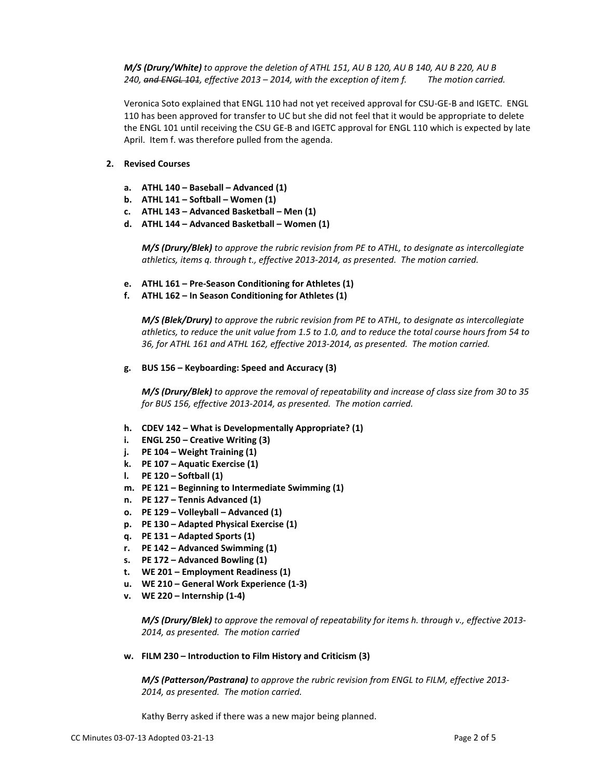*M/S (Drury/White) to approve the deletion of ATHL 151, AU B 120, AU B 140, AU B 220, AU B 240, and ENGL 101, effective 2013 – 2014, with the exception of item f. The motion carried.*

Veronica Soto explained that ENGL 110 had not yet received approval for CSU-GE-B and IGETC. ENGL 110 has been approved for transfer to UC but she did not feel that it would be appropriate to delete the ENGL 101 until receiving the CSU GE-B and IGETC approval for ENGL 110 which is expected by late April. Item f. was therefore pulled from the agenda.

### **2. Revised Courses**

- **a. ATHL 140 – Baseball – Advanced (1)**
- **b. ATHL 141 – Softball – Women (1)**
- **c. ATHL 143 – Advanced Basketball – Men (1)**
- **d. ATHL 144 – Advanced Basketball – Women (1)**

*M/S (Drury/Blek) to approve the rubric revision from PE to ATHL, to designate as intercollegiate athletics, items q. through t., effective 2013-2014, as presented. The motion carried.*

- **e. ATHL 161 – Pre-Season Conditioning for Athletes (1)**
- **f. ATHL 162 – In Season Conditioning for Athletes (1)**

*M/S (Blek/Drury) to approve the rubric revision from PE to ATHL, to designate as intercollegiate athletics, to reduce the unit value from 1.5 to 1.0, and to reduce the total course hours from 54 to 36, for ATHL 161 and ATHL 162, effective 2013-2014, as presented. The motion carried.*

**g. BUS 156 – Keyboarding: Speed and Accuracy (3)**

*M/S (Drury/Blek) to approve the removal of repeatability and increase of class size from 30 to 35 for BUS 156, effective 2013-2014, as presented. The motion carried.*

- **h. CDEV 142 – What is Developmentally Appropriate? (1)**
- **i. ENGL 250 – Creative Writing (3)**
- **j. PE 104 – Weight Training (1)**
- **k. PE 107 – Aquatic Exercise (1)**
- **l. PE 120 – Softball (1)**
- **m. PE 121 – Beginning to Intermediate Swimming (1)**
- **n. PE 127 – Tennis Advanced (1)**
- **o. PE 129 – Volleyball – Advanced (1)**
- **p. PE 130 – Adapted Physical Exercise (1)**
- **q. PE 131 – Adapted Sports (1)**
- **r. PE 142 – Advanced Swimming (1)**
- **s. PE 172 – Advanced Bowling (1)**
- **t. WE 201 – Employment Readiness (1)**
- **u. WE 210 – General Work Experience (1-3)**
- **v. WE 220 – Internship (1-4)**

*M/S (Drury/Blek) to approve the removal of repeatability for items h. through v., effective 2013- 2014, as presented. The motion carried*

**w. FILM 230 – Introduction to Film History and Criticism (3)**

*M/S (Patterson/Pastrana) to approve the rubric revision from ENGL to FILM, effective 2013- 2014, as presented. The motion carried.*

Kathy Berry asked if there was a new major being planned.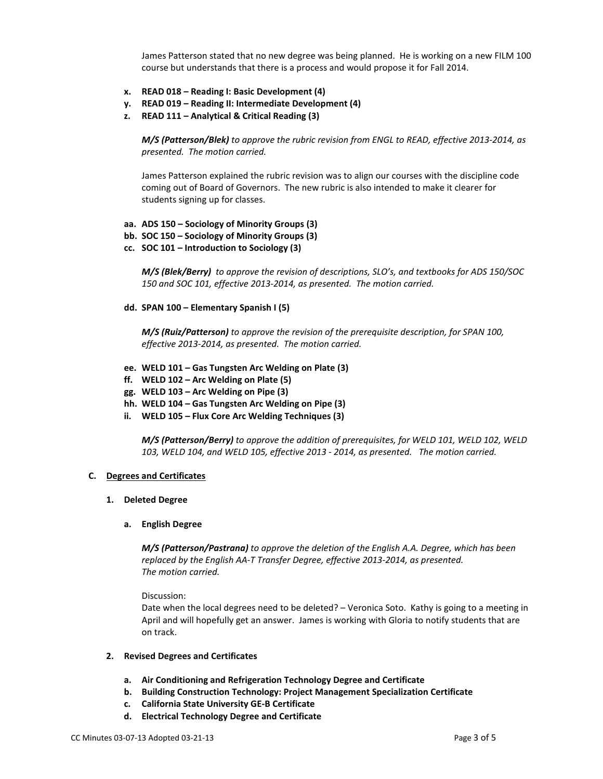James Patterson stated that no new degree was being planned. He is working on a new FILM 100 course but understands that there is a process and would propose it for Fall 2014.

- **x. READ 018 – Reading I: Basic Development (4)**
- **y. READ 019 – Reading II: Intermediate Development (4)**
- **z. READ 111 – Analytical & Critical Reading (3)**

*M/S (Patterson/Blek) to approve the rubric revision from ENGL to READ, effective 2013-2014, as presented. The motion carried.*

James Patterson explained the rubric revision was to align our courses with the discipline code coming out of Board of Governors. The new rubric is also intended to make it clearer for students signing up for classes.

- **aa. ADS 150 – Sociology of Minority Groups (3)**
- **bb. SOC 150 – Sociology of Minority Groups (3)**
- **cc. SOC 101 – Introduction to Sociology (3)**

*M/S (Blek/Berry) to approve the revision of descriptions, SLO's, and textbooks for ADS 150/SOC 150 and SOC 101, effective 2013-2014, as presented. The motion carried.*

**dd. SPAN 100 – Elementary Spanish I (5)**

*M/S (Ruiz/Patterson) to approve the revision of the prerequisite description, for SPAN 100, effective 2013-2014, as presented. The motion carried.*

- **ee. WELD 101 – Gas Tungsten Arc Welding on Plate (3)**
- **ff. WELD 102 – Arc Welding on Plate (5)**
- **gg. WELD 103 – Arc Welding on Pipe (3)**
- **hh. WELD 104 – Gas Tungsten Arc Welding on Pipe (3)**
- **ii. WELD 105 – Flux Core Arc Welding Techniques (3)**

*M/S (Patterson/Berry) to approve the addition of prerequisites, for WELD 101, WELD 102, WELD 103, WELD 104, and WELD 105, effective 2013 - 2014, as presented. The motion carried.*

#### **C. Degrees and Certificates**

**1. Deleted Degree**

#### **a. English Degree**

*M/S (Patterson/Pastrana) to approve the deletion of the English A.A. Degree, which has been replaced by the English AA-T Transfer Degree, effective 2013-2014, as presented. The motion carried.*

Discussion:

Date when the local degrees need to be deleted? – Veronica Soto. Kathy is going to a meeting in April and will hopefully get an answer. James is working with Gloria to notify students that are on track.

#### **2. Revised Degrees and Certificates**

- **a. Air Conditioning and Refrigeration Technology Degree and Certificate**
- **b. Building Construction Technology: Project Management Specialization Certificate**
- **c. California State University GE-B Certificate**
- **d. Electrical Technology Degree and Certificate**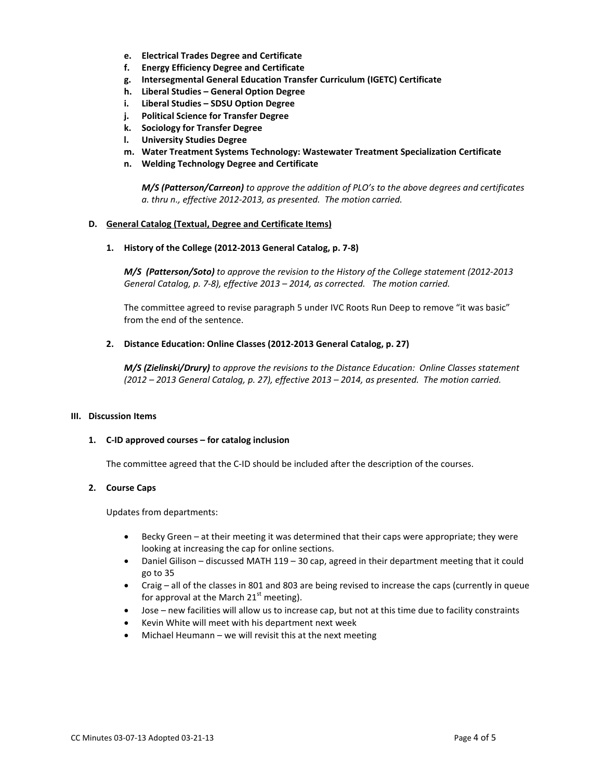- **e. Electrical Trades Degree and Certificate**
- **f. Energy Efficiency Degree and Certificate**
- **g. Intersegmental General Education Transfer Curriculum (IGETC) Certificate**
- **h. Liberal Studies – General Option Degree**
- **i. Liberal Studies – SDSU Option Degree**
- **j. Political Science for Transfer Degree**
- **k. Sociology for Transfer Degree**
- **l. University Studies Degree**
- **m. Water Treatment Systems Technology: Wastewater Treatment Specialization Certificate**
- **n. Welding Technology Degree and Certificate**

*M/S (Patterson/Carreon) to approve the addition of PLO's to the above degrees and certificates a. thru n., effective 2012-2013, as presented. The motion carried.*

#### **D. General Catalog (Textual, Degree and Certificate Items)**

**1. History of the College (2012-2013 General Catalog, p. 7-8)**

*M/S (Patterson/Soto) to approve the revision to the History of the College statement (2012-2013 General Catalog, p. 7-8), effective 2013 – 2014, as corrected. The motion carried.*

The committee agreed to revise paragraph 5 under IVC Roots Run Deep to remove "it was basic" from the end of the sentence.

#### **2. Distance Education: Online Classes (2012-2013 General Catalog, p. 27)**

*M/S (Zielinski/Drury) to approve the revisions to the Distance Education: Online Classes statement (2012 – 2013 General Catalog, p. 27), effective 2013 – 2014, as presented. The motion carried.*

#### **III. Discussion Items**

## **1. C-ID approved courses – for catalog inclusion**

The committee agreed that the C-ID should be included after the description of the courses.

#### **2. Course Caps**

Updates from departments:

- Becky Green at their meeting it was determined that their caps were appropriate; they were looking at increasing the cap for online sections.
- Daniel Gilison discussed MATH 119 30 cap, agreed in their department meeting that it could go to 35
- Craig all of the classes in 801 and 803 are being revised to increase the caps (currently in queue for approval at the March  $21<sup>st</sup>$  meeting).
- Jose new facilities will allow us to increase cap, but not at this time due to facility constraints
- Kevin White will meet with his department next week
- Michael Heumann we will revisit this at the next meeting